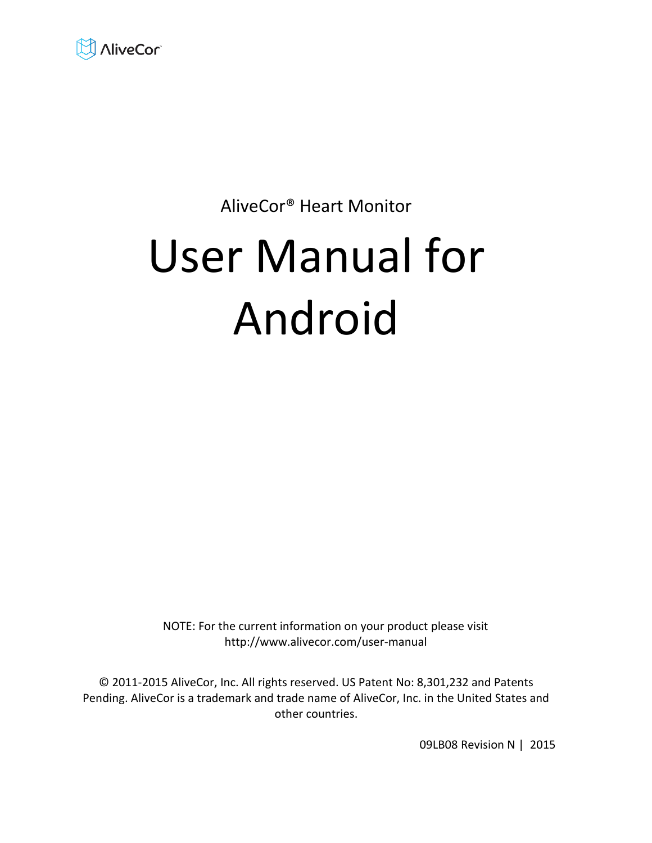

# AliveCor® Heart Monitor

# User Manual for Android

NOTE: For the current information on your product please visit http://www.alivecor.com/user-manual

© 2011-2015 AliveCor, Inc. All rights reserved. US Patent No: 8,301,232 and Patents Pending. AliveCor is a trademark and trade name of AliveCor, Inc. in the United States and other countries.

09LB08 Revision N | 2015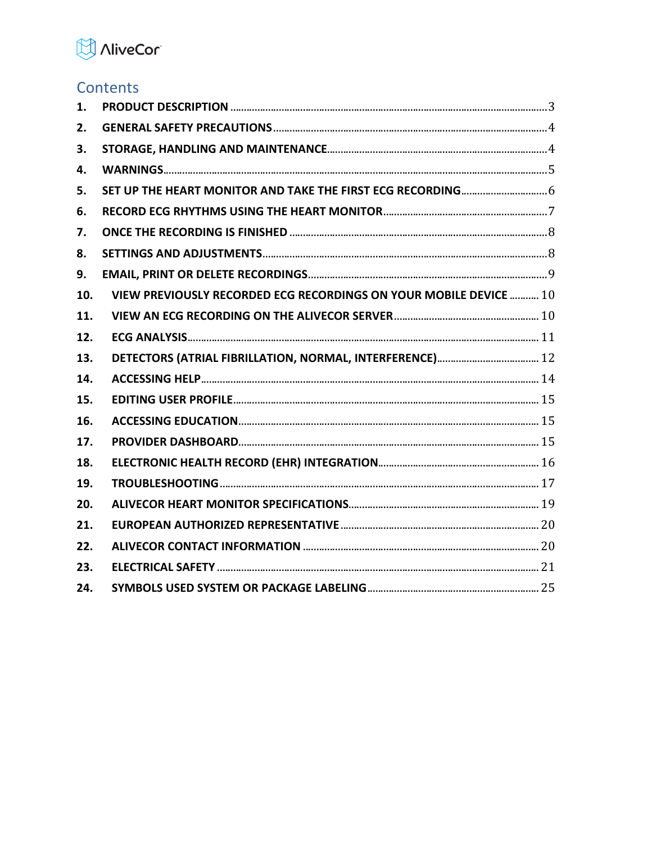

# Contents

| 1.  |                                                                   |  |
|-----|-------------------------------------------------------------------|--|
| 2.  |                                                                   |  |
| 3.  |                                                                   |  |
| 4.  |                                                                   |  |
| 5.  |                                                                   |  |
| 6.  |                                                                   |  |
| 7.  |                                                                   |  |
| 8.  |                                                                   |  |
| 9.  |                                                                   |  |
| 10. | VIEW PREVIOUSLY RECORDED ECG RECORDINGS ON YOUR MOBILE DEVICE  10 |  |
| 11. |                                                                   |  |
| 12. |                                                                   |  |
| 13. |                                                                   |  |
| 14. |                                                                   |  |
| 15. |                                                                   |  |
| 16. |                                                                   |  |
| 17. |                                                                   |  |
| 18. |                                                                   |  |
| 19. |                                                                   |  |
| 20. |                                                                   |  |
| 21. |                                                                   |  |
| 22. |                                                                   |  |
| 23. |                                                                   |  |
| 24. |                                                                   |  |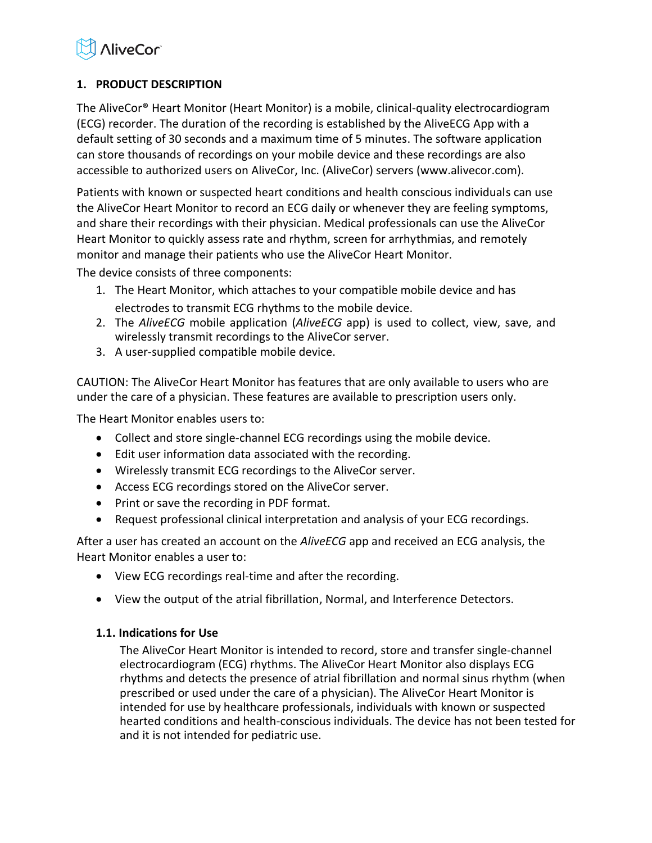

# <span id="page-2-0"></span>**1. PRODUCT DESCRIPTION**

The AliveCor® Heart Monitor (Heart Monitor) is a mobile, clinical-quality electrocardiogram (ECG) recorder. The duration of the recording is established by the AliveECG App with a default setting of 30 seconds and a maximum time of 5 minutes. The software application can store thousands of recordings on your mobile device and these recordings are also accessible to authorized users on AliveCor, Inc. (AliveCor) servers (www.alivecor.com).

Patients with known or suspected heart conditions and health conscious individuals can use the AliveCor Heart Monitor to record an ECG daily or whenever they are feeling symptoms, and share their recordings with their physician. Medical professionals can use the AliveCor Heart Monitor to quickly assess rate and rhythm, screen for arrhythmias, and remotely monitor and manage their patients who use the AliveCor Heart Monitor.

The device consists of three components:

- 1. The Heart Monitor, which attaches to your compatible mobile device and has electrodes to transmit ECG rhythms to the mobile device.
- 2. The *AliveECG* mobile application (*AliveECG* app) is used to collect, view, save, and wirelessly transmit recordings to the AliveCor server.
- 3. A user-supplied compatible mobile device.

CAUTION: The AliveCor Heart Monitor has features that are only available to users who are under the care of a physician. These features are available to prescription users only.

The Heart Monitor enables users to:

- Collect and store single-channel ECG recordings using the mobile device.
- Edit user information data associated with the recording.
- Wirelessly transmit ECG recordings to the AliveCor server.
- Access ECG recordings stored on the AliveCor server.
- Print or save the recording in PDF format.
- Request professional clinical interpretation and analysis of your ECG recordings.

After a user has created an account on the *AliveECG* app and received an ECG analysis, the Heart Monitor enables a user to:

- View ECG recordings real-time and after the recording.
- View the output of the atrial fibrillation, Normal, and Interference Detectors.

# **1.1. Indications for Use**

The AliveCor Heart Monitor is intended to record, store and transfer single-channel electrocardiogram (ECG) rhythms. The AliveCor Heart Monitor also displays ECG rhythms and detects the presence of atrial fibrillation and normal sinus rhythm (when prescribed or used under the care of a physician). The AliveCor Heart Monitor is intended for use by healthcare professionals, individuals with known or suspected hearted conditions and health-conscious individuals. The device has not been tested for and it is not intended for pediatric use.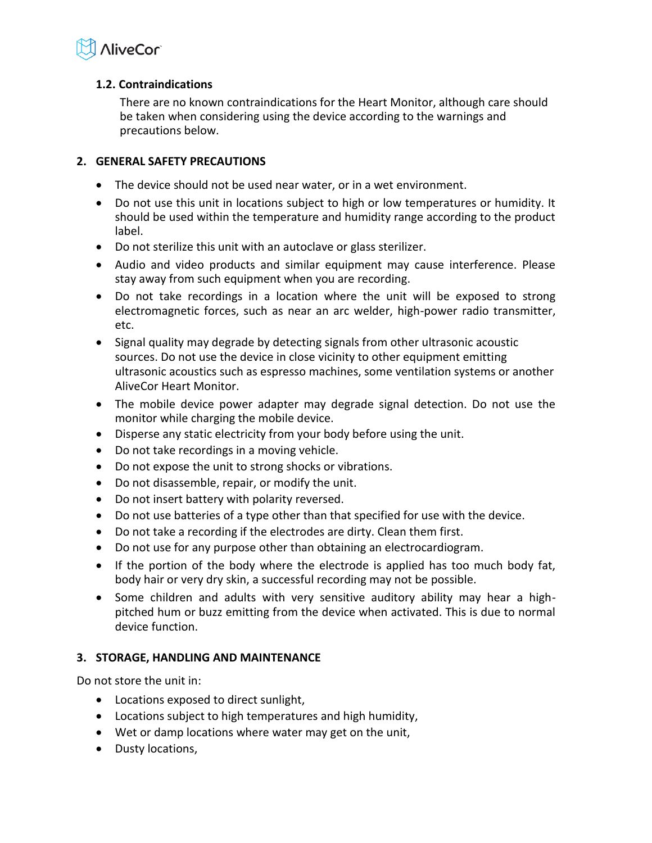

# **1.2. Contraindications**

There are no known contraindications for the Heart Monitor, although care should be taken when considering using the device according to the warnings and precautions below.

# <span id="page-3-0"></span>**2. GENERAL SAFETY PRECAUTIONS**

- The device should not be used near water, or in a wet environment.
- Do not use this unit in locations subject to high or low temperatures or humidity. It should be used within the temperature and humidity range according to the product label.
- Do not sterilize this unit with an autoclave or glass sterilizer.
- Audio and video products and similar equipment may cause interference. Please stay away from such equipment when you are recording.
- Do not take recordings in a location where the unit will be exposed to strong electromagnetic forces, such as near an arc welder, high-power radio transmitter, etc.
- Signal quality may degrade by detecting signals from other ultrasonic acoustic sources. Do not use the device in close vicinity to other equipment emitting ultrasonic acoustics such as espresso machines, some ventilation systems or another AliveCor Heart Monitor.
- The mobile device power adapter may degrade signal detection. Do not use the monitor while charging the mobile device.
- Disperse any static electricity from your body before using the unit.
- Do not take recordings in a moving vehicle.
- Do not expose the unit to strong shocks or vibrations.
- Do not disassemble, repair, or modify the unit.
- Do not insert battery with polarity reversed.
- Do not use batteries of a type other than that specified for use with the device.
- Do not take a recording if the electrodes are dirty. Clean them first.
- Do not use for any purpose other than obtaining an electrocardiogram.
- If the portion of the body where the electrode is applied has too much body fat, body hair or very dry skin, a successful recording may not be possible.
- Some children and adults with very sensitive auditory ability may hear a highpitched hum or buzz emitting from the device when activated. This is due to normal device function.

# <span id="page-3-1"></span>**3. STORAGE, HANDLING AND MAINTENANCE**

Do not store the unit in:

- Locations exposed to direct sunlight,
- Locations subject to high temperatures and high humidity,
- Wet or damp locations where water may get on the unit,
- Dusty locations,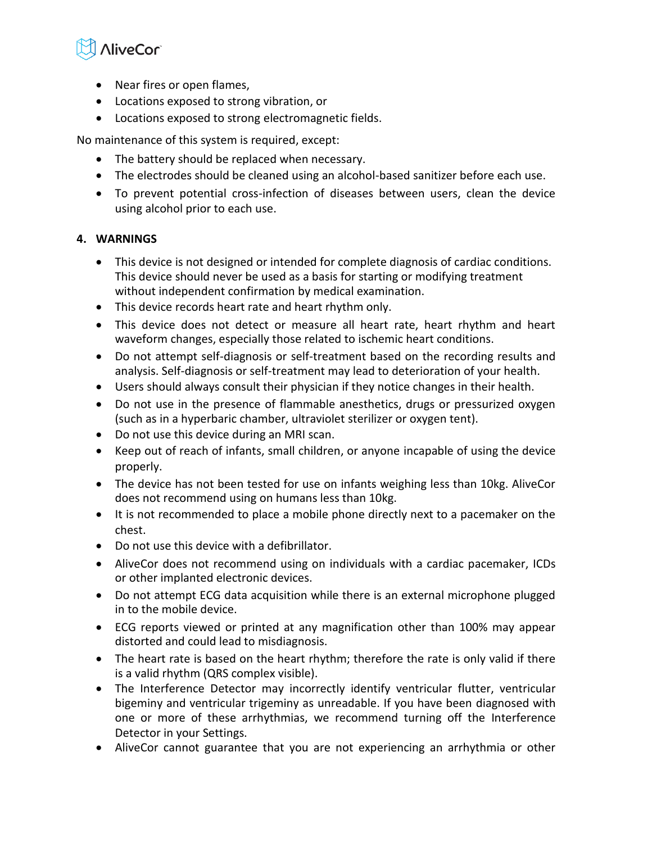

- Near fires or open flames,
- Locations exposed to strong vibration, or
- Locations exposed to strong electromagnetic fields.

No maintenance of this system is required, except:

- The battery should be replaced when necessary.
- The electrodes should be cleaned using an alcohol-based sanitizer before each use.
- To prevent potential cross-infection of diseases between users, clean the device using alcohol prior to each use.

# <span id="page-4-0"></span>**4. WARNINGS**

- This device is not designed or intended for complete diagnosis of cardiac conditions. This device should never be used as a basis for starting or modifying treatment without independent confirmation by medical examination.
- This device records heart rate and heart rhythm only.
- This device does not detect or measure all heart rate, heart rhythm and heart waveform changes, especially those related to ischemic heart conditions.
- Do not attempt self-diagnosis or self-treatment based on the recording results and analysis. Self-diagnosis or self-treatment may lead to deterioration of your health.
- Users should always consult their physician if they notice changes in their health.
- Do not use in the presence of flammable anesthetics, drugs or pressurized oxygen (such as in a hyperbaric chamber, ultraviolet sterilizer or oxygen tent).
- Do not use this device during an MRI scan.
- Keep out of reach of infants, small children, or anyone incapable of using the device properly.
- The device has not been tested for use on infants weighing less than 10kg. AliveCor does not recommend using on humans less than 10kg.
- It is not recommended to place a mobile phone directly next to a pacemaker on the chest.
- Do not use this device with a defibrillator.
- AliveCor does not recommend using on individuals with a cardiac pacemaker, ICDs or other implanted electronic devices.
- Do not attempt ECG data acquisition while there is an external microphone plugged in to the mobile device.
- ECG reports viewed or printed at any magnification other than 100% may appear distorted and could lead to misdiagnosis.
- The heart rate is based on the heart rhythm; therefore the rate is only valid if there is a valid rhythm (QRS complex visible).
- The Interference Detector may incorrectly identify ventricular flutter, ventricular bigeminy and ventricular trigeminy as unreadable. If you have been diagnosed with one or more of these arrhythmias, we recommend turning off the Interference Detector in your Settings.
- AliveCor cannot guarantee that you are not experiencing an arrhythmia or other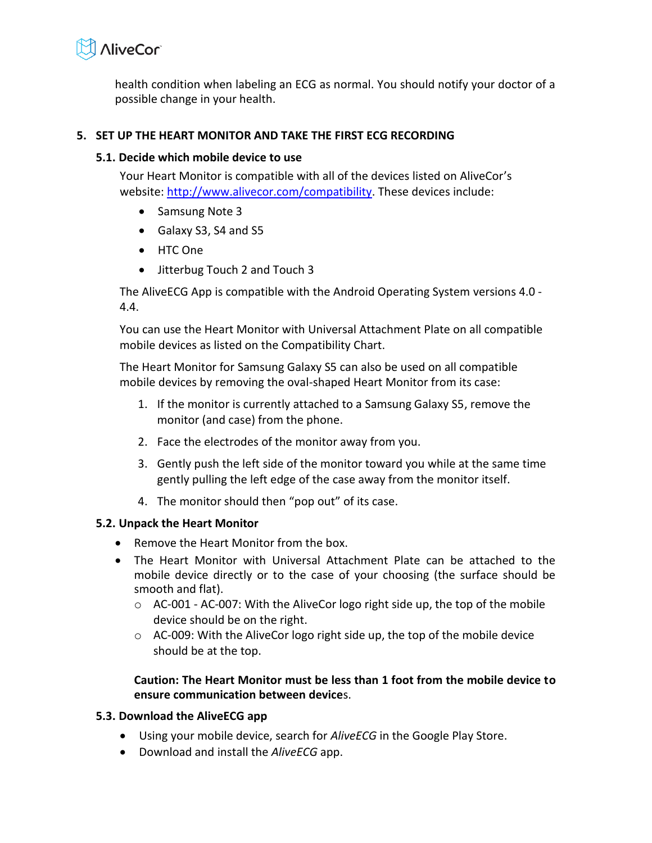

health condition when labeling an ECG as normal. You should notify your doctor of a possible change in your health.

# <span id="page-5-0"></span>**5. SET UP THE HEART MONITOR AND TAKE THE FIRST ECG RECORDING**

# **5.1. Decide which mobile device to use**

Your Heart Monitor is compatible with all of the devices listed on AliveCor's website[: http://www.alivecor.com/compatibility.](http://www.alivecor.com/compatibility) These devices include:

- Samsung Note 3
- Galaxy S3, S4 and S5
- HTC One
- Jitterbug Touch 2 and Touch 3

The AliveECG App is compatible with the Android Operating System versions 4.0 - 4.4.

You can use the Heart Monitor with Universal Attachment Plate on all compatible mobile devices as listed on the Compatibility Chart.

The Heart Monitor for Samsung Galaxy S5 can also be used on all compatible mobile devices by removing the oval-shaped Heart Monitor from its case:

- 1. If the monitor is currently attached to a Samsung Galaxy S5, remove the monitor (and case) from the phone.
- 2. Face the electrodes of the monitor away from you.
- 3. Gently push the left side of the monitor toward you while at the same time gently pulling the left edge of the case away from the monitor itself.
- 4. The monitor should then "pop out" of its case.

# **5.2. Unpack the Heart Monitor**

- Remove the Heart Monitor from the box.
- The Heart Monitor with Universal Attachment Plate can be attached to the mobile device directly or to the case of your choosing (the surface should be smooth and flat).
	- $\circ$  AC-001 AC-007: With the AliveCor logo right side up, the top of the mobile device should be on the right.
	- $\circ$  AC-009: With the AliveCor logo right side up, the top of the mobile device should be at the top.

# **Caution: The Heart Monitor must be less than 1 foot from the mobile device to ensure communication between device**s.

# **5.3. Download the AliveECG app**

- Using your mobile device, search for *AliveECG* in the Google Play Store.
- Download and install the *AliveECG* app.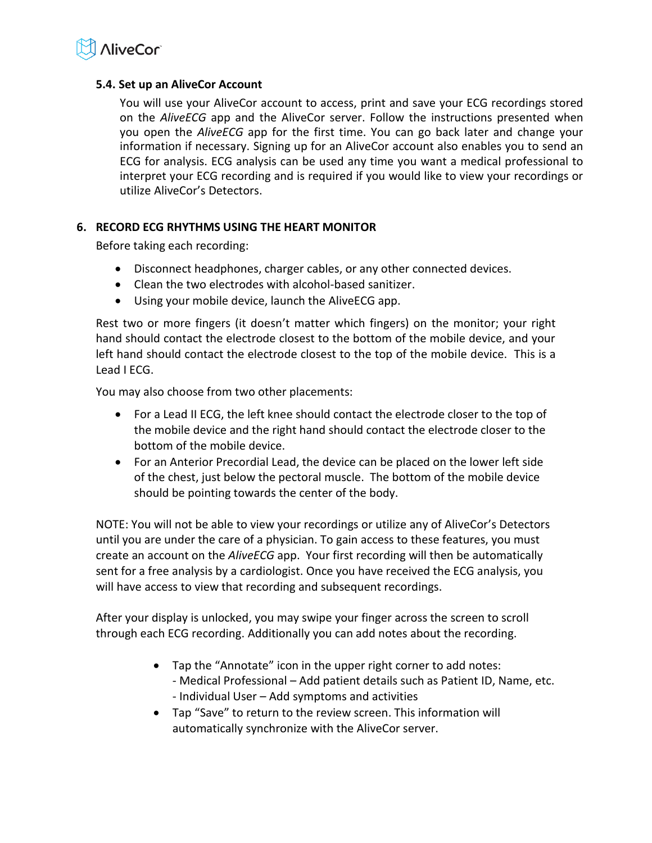

# **5.4. Set up an AliveCor Account**

You will use your AliveCor account to access, print and save your ECG recordings stored on the *AliveECG* app and the AliveCor server. Follow the instructions presented when you open the *AliveECG* app for the first time. You can go back later and change your information if necessary. Signing up for an AliveCor account also enables you to send an ECG for analysis. ECG analysis can be used any time you want a medical professional to interpret your ECG recording and is required if you would like to view your recordings or utilize AliveCor's Detectors.

# <span id="page-6-0"></span>**6. RECORD ECG RHYTHMS USING THE HEART MONITOR**

Before taking each recording:

- Disconnect headphones, charger cables, or any other connected devices.
- Clean the two electrodes with alcohol-based sanitizer.
- Using your mobile device, launch the AliveECG app.

Rest two or more fingers (it doesn't matter which fingers) on the monitor; your right hand should contact the electrode closest to the bottom of the mobile device, and your left hand should contact the electrode closest to the top of the mobile device. This is a Lead I ECG.

You may also choose from two other placements:

- For a Lead II ECG, the left knee should contact the electrode closer to the top of the mobile device and the right hand should contact the electrode closer to the bottom of the mobile device.
- For an Anterior Precordial Lead, the device can be placed on the lower left side of the chest, just below the pectoral muscle. The bottom of the mobile device should be pointing towards the center of the body.

NOTE: You will not be able to view your recordings or utilize any of AliveCor's Detectors until you are under the care of a physician. To gain access to these features, you must create an account on the *AliveECG* app. Your first recording will then be automatically sent for a free analysis by a cardiologist. Once you have received the ECG analysis, you will have access to view that recording and subsequent recordings.

After your display is unlocked, you may swipe your finger across the screen to scroll through each ECG recording. Additionally you can add notes about the recording.

- Tap the "Annotate" icon in the upper right corner to add notes: - Medical Professional – Add patient details such as Patient ID, Name, etc. - Individual User – Add symptoms and activities
- Tap "Save" to return to the review screen. This information will automatically synchronize with the AliveCor server.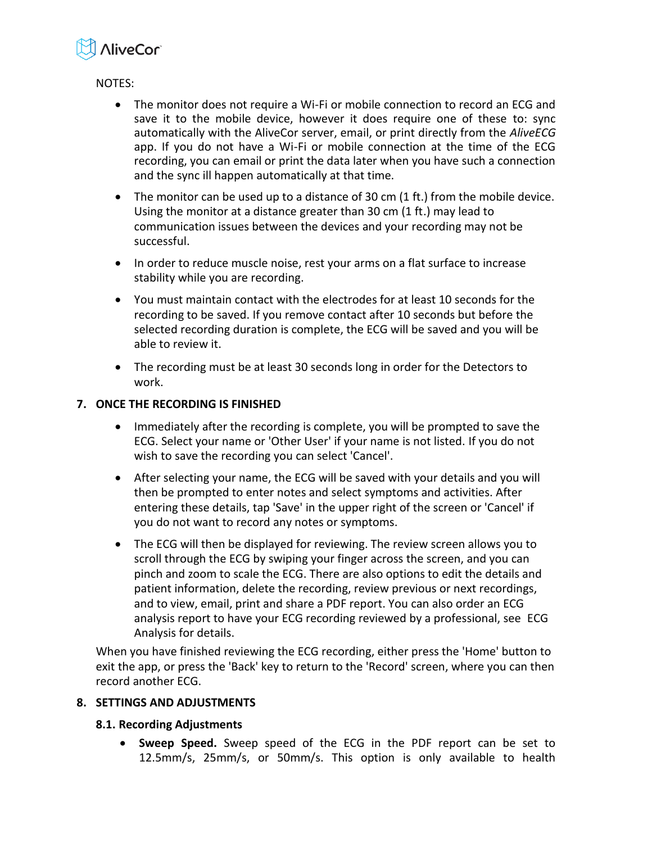

NOTES:

- The monitor does not require a Wi-Fi or mobile connection to record an ECG and save it to the mobile device, however it does require one of these to: sync automatically with the AliveCor server, email, or print directly from the *AliveECG* app. If you do not have a Wi-Fi or mobile connection at the time of the ECG recording, you can email or print the data later when you have such a connection and the sync ill happen automatically at that time.
- The monitor can be used up to a distance of 30 cm (1 ft.) from the mobile device. Using the monitor at a distance greater than 30 cm (1 ft.) may lead to communication issues between the devices and your recording may not be successful.
- In order to reduce muscle noise, rest your arms on a flat surface to increase stability while you are recording.
- You must maintain contact with the electrodes for at least 10 seconds for the recording to be saved. If you remove contact after 10 seconds but before the selected recording duration is complete, the ECG will be saved and you will be able to review it.
- The recording must be at least 30 seconds long in order for the Detectors to work.

# <span id="page-7-0"></span>**7. ONCE THE RECORDING IS FINISHED**

- Immediately after the recording is complete, you will be prompted to save the ECG. Select your name or 'Other User' if your name is not listed. If you do not wish to save the recording you can select 'Cancel'.
- After selecting your name, the ECG will be saved with your details and you will then be prompted to enter notes and select symptoms and activities. After entering these details, tap 'Save' in the upper right of the screen or 'Cancel' if you do not want to record any notes or symptoms.
- The ECG will then be displayed for reviewing. The review screen allows you to scroll through the ECG by swiping your finger across the screen, and you can pinch and zoom to scale the ECG. There are also options to edit the details and patient information, delete the recording, review previous or next recordings, and to view, email, print and share a PDF report. You can also order an ECG analysis report to have your ECG recording reviewed by a professional, see ECG Analysis for details.

When you have finished reviewing the ECG recording, either press the 'Home' button to exit the app, or press the 'Back' key to return to the 'Record' screen, where you can then record another ECG.

# <span id="page-7-1"></span>**8. SETTINGS AND ADJUSTMENTS**

# **8.1. Recording Adjustments**

 **Sweep Speed.** Sweep speed of the ECG in the PDF report can be set to 12.5mm/s, 25mm/s, or 50mm/s. This option is only available to health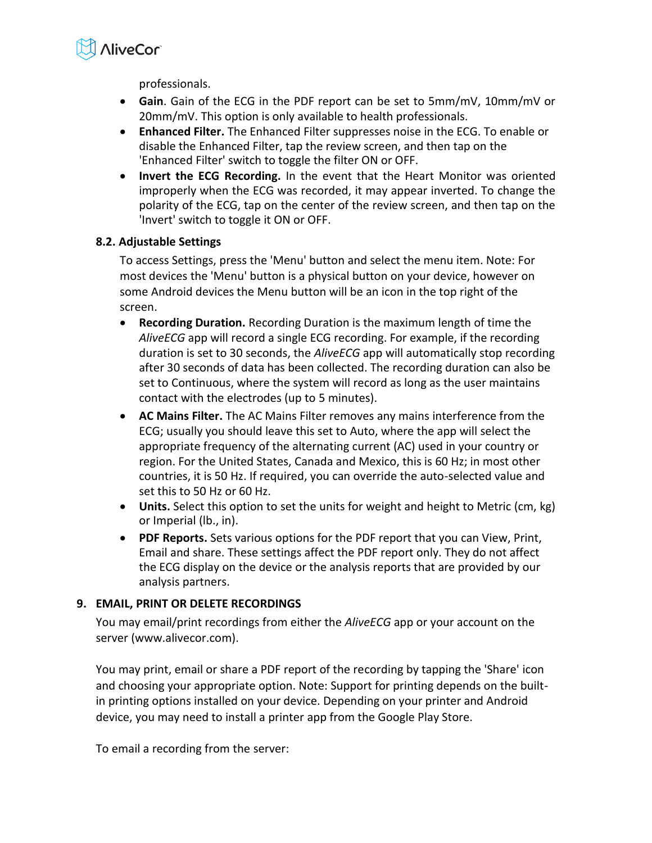

professionals.

- **Gain**. Gain of the ECG in the PDF report can be set to 5mm/mV, 10mm/mV or 20mm/mV. This option is only available to health professionals.
- **Enhanced Filter.** The Enhanced Filter suppresses noise in the ECG. To enable or disable the Enhanced Filter, tap the review screen, and then tap on the 'Enhanced Filter' switch to toggle the filter ON or OFF.
- **Invert the ECG Recording.** In the event that the Heart Monitor was oriented improperly when the ECG was recorded, it may appear inverted. To change the polarity of the ECG, tap on the center of the review screen, and then tap on the 'Invert' switch to toggle it ON or OFF.

# **8.2. Adjustable Settings**

To access Settings, press the 'Menu' button and select the menu item. Note: For most devices the 'Menu' button is a physical button on your device, however on some Android devices the Menu button will be an icon in the top right of the screen.

- **Recording Duration.** Recording Duration is the maximum length of time the *AliveECG* app will record a single ECG recording. For example, if the recording duration is set to 30 seconds, the *AliveECG* app will automatically stop recording after 30 seconds of data has been collected. The recording duration can also be set to Continuous, where the system will record as long as the user maintains contact with the electrodes (up to 5 minutes).
- **AC Mains Filter.** The AC Mains Filter removes any mains interference from the ECG; usually you should leave this set to Auto, where the app will select the appropriate frequency of the alternating current (AC) used in your country or region. For the United States, Canada and Mexico, this is 60 Hz; in most other countries, it is 50 Hz. If required, you can override the auto-selected value and set this to 50 Hz or 60 Hz.
- **Units.** Select this option to set the units for weight and height to Metric (cm, kg) or Imperial (lb., in).
- **PDF Reports.** Sets various options for the PDF report that you can View, Print, Email and share. These settings affect the PDF report only. They do not affect the ECG display on the device or the analysis reports that are provided by our analysis partners.

# <span id="page-8-0"></span>**9. EMAIL, PRINT OR DELETE RECORDINGS**

You may email/print recordings from either the *AliveECG* app or your account on the server (www.alivecor.com).

You may print, email or share a PDF report of the recording by tapping the 'Share' icon and choosing your appropriate option. Note: Support for printing depends on the builtin printing options installed on your device. Depending on your printer and Android device, you may need to install a printer app from the Google Play Store.

To email a recording from the server: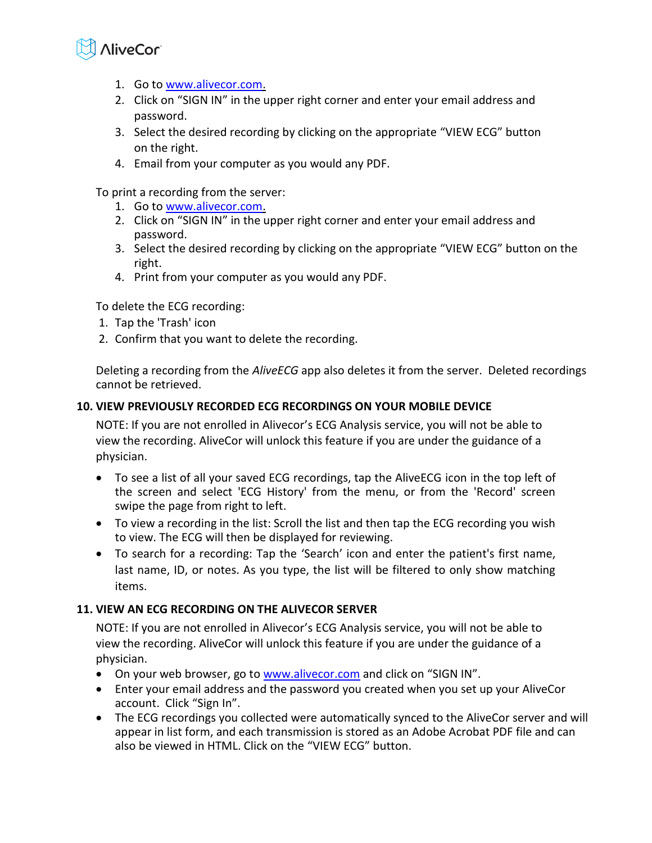

- 1. Go t[o www.alivecor.com.](http://www.alivecor.com/)
- 2. Click on "SIGN IN" in the upper right corner and enter your email address and password.
- 3. Select the desired recording by clicking on the appropriate "VIEW ECG" button on the right.
- 4. Email from your computer as you would any PDF.

To print a recording from the server:

- 1. Go t[o www.alivecor.com.](http://www.alivecor.com/)
- 2. Click on "SIGN IN" in the upper right corner and enter your email address and password.
- 3. Select the desired recording by clicking on the appropriate "VIEW ECG" button on the right.
- 4. Print from your computer as you would any PDF.

To delete the ECG recording:

- 1. Tap the 'Trash' icon
- 2. Confirm that you want to delete the recording.

Deleting a recording from the *AliveECG* app also deletes it from the server. Deleted recordings cannot be retrieved.

# <span id="page-9-0"></span>**10. VIEW PREVIOUSLY RECORDED ECG RECORDINGS ON YOUR MOBILE DEVICE**

NOTE: If you are not enrolled in Alivecor's ECG Analysis service, you will not be able to view the recording. AliveCor will unlock this feature if you are under the guidance of a physician.

- To see a list of all your saved ECG recordings, tap the AliveECG icon in the top left of the screen and select 'ECG History' from the menu, or from the 'Record' screen swipe the page from right to left.
- To view a recording in the list: Scroll the list and then tap the ECG recording you wish to view. The ECG will then be displayed for reviewing.
- To search for a recording: Tap the 'Search' icon and enter the patient's first name, last name, ID, or notes. As you type, the list will be filtered to only show matching items.

# <span id="page-9-1"></span>**11. VIEW AN ECG RECORDING ON THE ALIVECOR SERVER**

NOTE: If you are not enrolled in Alivecor's ECG Analysis service, you will not be able to view the recording. AliveCor will unlock this feature if you are under the guidance of a physician.

- On your web browser, go to [www.alivecor.com](http://www.alivecor.com/) and click on "SIGN IN".
- Enter your email address and the password you created when you set up your AliveCor account. Click "Sign In".
- The ECG recordings you collected were automatically synced to the AliveCor server and will appear in list form, and each transmission is stored as an Adobe Acrobat PDF file and can also be viewed in HTML. Click on the "VIEW ECG" button.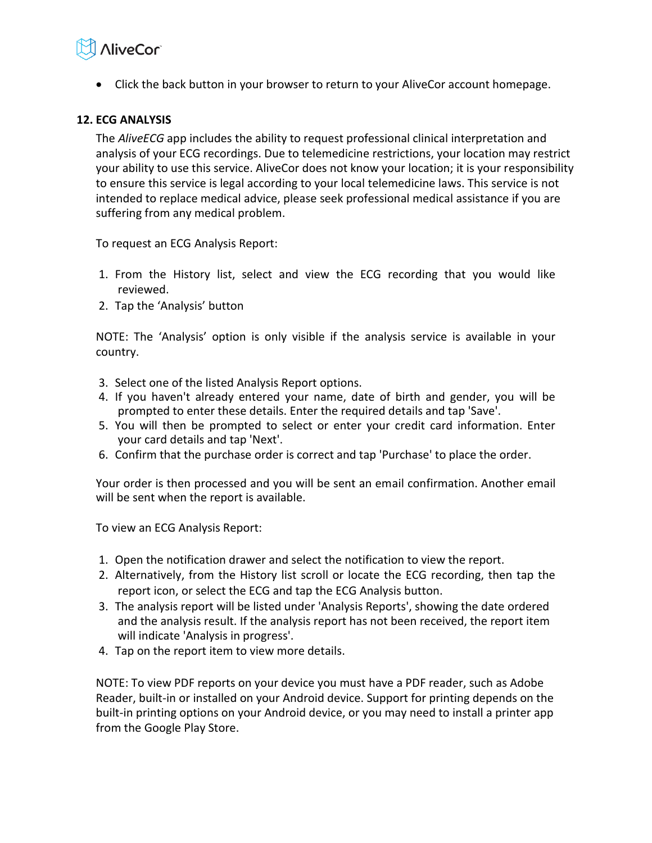# **AliveCor**

Click the back button in your browser to return to your AliveCor account homepage.

# <span id="page-10-0"></span>**12. ECG ANALYSIS**

The *AliveECG* app includes the ability to request professional clinical interpretation and analysis of your ECG recordings. Due to telemedicine restrictions, your location may restrict your ability to use this service. AliveCor does not know your location; it is your responsibility to ensure this service is legal according to your local telemedicine laws. This service is not intended to replace medical advice, please seek professional medical assistance if you are suffering from any medical problem.

To request an ECG Analysis Report:

- 1. From the History list, select and view the ECG recording that you would like reviewed.
- 2. Tap the 'Analysis' button

NOTE: The 'Analysis' option is only visible if the analysis service is available in your country.

- 3. Select one of the listed Analysis Report options.
- 4. If you haven't already entered your name, date of birth and gender, you will be prompted to enter these details. Enter the required details and tap 'Save'.
- 5. You will then be prompted to select or enter your credit card information. Enter your card details and tap 'Next'.
- 6. Confirm that the purchase order is correct and tap 'Purchase' to place the order.

Your order is then processed and you will be sent an email confirmation. Another email will be sent when the report is available.

To view an ECG Analysis Report:

- 1. Open the notification drawer and select the notification to view the report.
- 2. Alternatively, from the History list scroll or locate the ECG recording, then tap the report icon, or select the ECG and tap the ECG Analysis button.
- 3. The analysis report will be listed under 'Analysis Reports', showing the date ordered and the analysis result. If the analysis report has not been received, the report item will indicate 'Analysis in progress'.
- 4. Tap on the report item to view more details.

NOTE: To view PDF reports on your device you must have a PDF reader, such as Adobe Reader, built-in or installed on your Android device. Support for printing depends on the built-in printing options on your Android device, or you may need to install a printer app from the Google Play Store.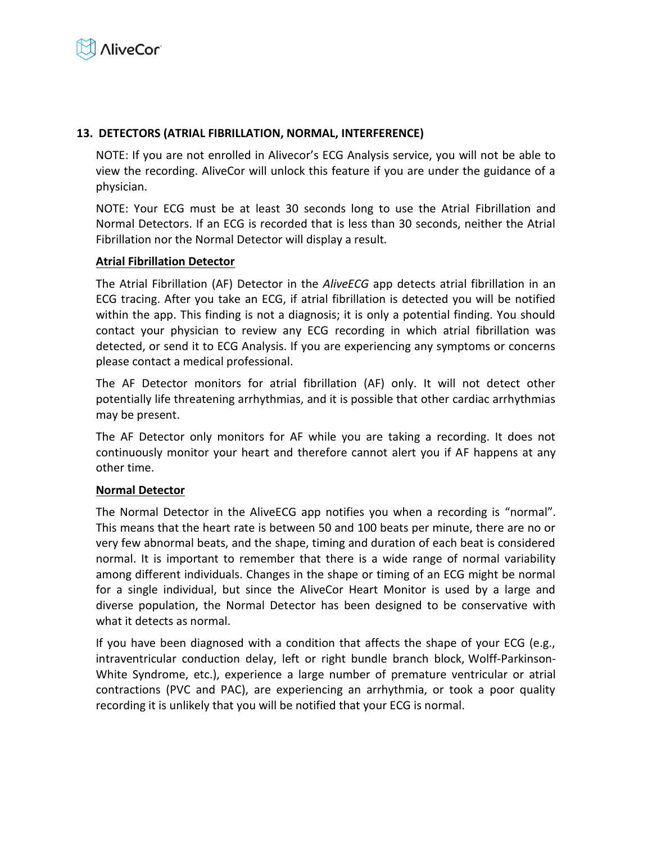

# <span id="page-11-0"></span>**13. DETECTORS (ATRIAL FIBRILLATION, NORMAL, INTERFERENCE)**

NOTE: If you are not enrolled in Alivecor's ECG Analysis service, you will not be able to view the recording. AliveCor will unlock this feature if you are under the guidance of a physician.

NOTE: Your ECG must be at least 30 seconds long to use the Atrial Fibrillation and Normal Detectors. If an ECG is recorded that is less than 30 seconds, neither the Atrial Fibrillation nor the Normal Detector will display a result.

#### **Atrial Fibrillation Detector**

The Atrial Fibrillation (AF) Detector in the *AliveECG* app detects atrial fibrillation in an ECG tracing. After you take an ECG, if atrial fibrillation is detected you will be notified within the app. This finding is not a diagnosis; it is only a potential finding. You should contact your physician to review any ECG recording in which atrial fibrillation was detected, or send it to ECG Analysis. If you are experiencing any symptoms or concerns please contact a medical professional.

The AF Detector monitors for atrial fibrillation (AF) only. It will not detect other potentially life threatening arrhythmias, and it is possible that other cardiac arrhythmias may be present.

The AF Detector only monitors for AF while you are taking a recording. It does not continuously monitor your heart and therefore cannot alert you if AF happens at any other time.

#### **Normal Detector**

The Normal Detector in the AliveECG app notifies you when a recording is "normal". This means that the heart rate is between 50 and 100 beats per minute, there are no or very few abnormal beats, and the shape, timing and duration of each beat is considered normal. It is important to remember that there is a wide range of normal variability among different individuals. Changes in the shape or timing of an ECG might be normal for a single individual, but since the AliveCor Heart Monitor is used by a large and diverse population, the Normal Detector has been designed to be conservative with what it detects as normal.

If you have been diagnosed with a condition that affects the shape of your ECG (e.g., intraventricular conduction delay, left or right bundle branch block, Wolff-Parkinson-White Syndrome, etc.), experience a large number of premature ventricular or atrial contractions (PVC and PAC), are experiencing an arrhythmia, or took a poor quality recording it is unlikely that you will be notified that your ECG is normal.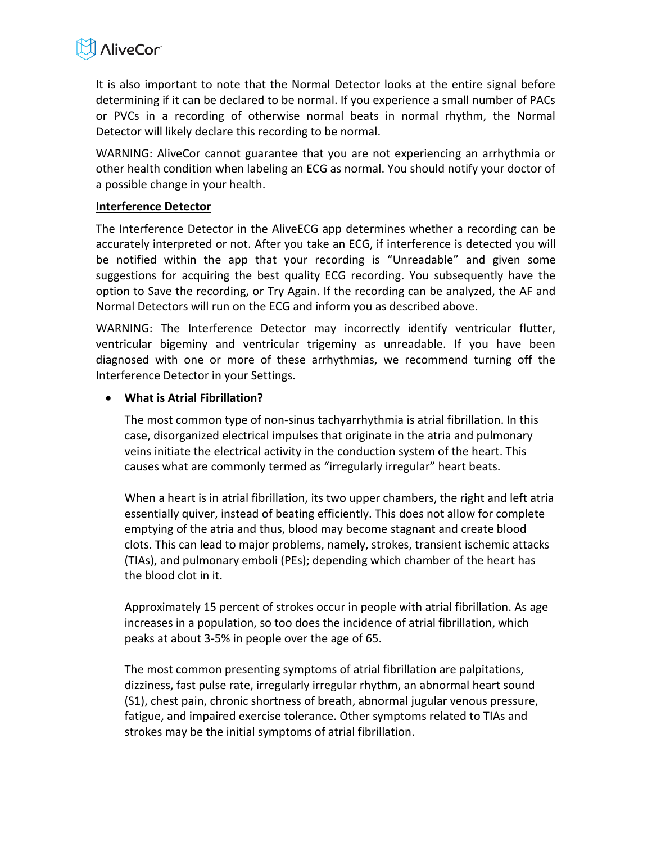

It is also important to note that the Normal Detector looks at the entire signal before determining if it can be declared to be normal. If you experience a small number of PACs or PVCs in a recording of otherwise normal beats in normal rhythm, the Normal Detector will likely declare this recording to be normal.

WARNING: AliveCor cannot guarantee that you are not experiencing an arrhythmia or other health condition when labeling an ECG as normal. You should notify your doctor of a possible change in your health.

#### **Interference Detector**

The Interference Detector in the AliveECG app determines whether a recording can be accurately interpreted or not. After you take an ECG, if interference is detected you will be notified within the app that your recording is "Unreadable" and given some suggestions for acquiring the best quality ECG recording. You subsequently have the option to Save the recording, or Try Again. If the recording can be analyzed, the AF and Normal Detectors will run on the ECG and inform you as described above.

WARNING: The Interference Detector may incorrectly identify ventricular flutter, ventricular bigeminy and ventricular trigeminy as unreadable. If you have been diagnosed with one or more of these arrhythmias, we recommend turning off the Interference Detector in your Settings.

# **What is Atrial Fibrillation?**

The most common type of non-sinus tachyarrhythmia is atrial fibrillation. In this case, disorganized electrical impulses that originate in the atria and pulmonary veins initiate the electrical activity in the conduction system of the heart. This causes what are commonly termed as "irregularly irregular" heart beats.

When a heart is in atrial fibrillation, its two upper chambers, the right and left atria essentially quiver, instead of beating efficiently. This does not allow for complete emptying of the atria and thus, blood may become stagnant and create blood clots. This can lead to major problems, namely, strokes, transient ischemic attacks (TIAs), and pulmonary emboli (PEs); depending which chamber of the heart has the blood clot in it.

Approximately 15 percent of strokes occur in people with atrial fibrillation. As age increases in a population, so too does the incidence of atrial fibrillation, which peaks at about 3-5% in people over the age of 65.

The most common presenting symptoms of atrial fibrillation are palpitations, dizziness, fast pulse rate, irregularly irregular rhythm, an abnormal heart sound (S1), chest pain, chronic shortness of breath, abnormal jugular venous pressure, fatigue, and impaired exercise tolerance. Other symptoms related to TIAs and strokes may be the initial symptoms of atrial fibrillation.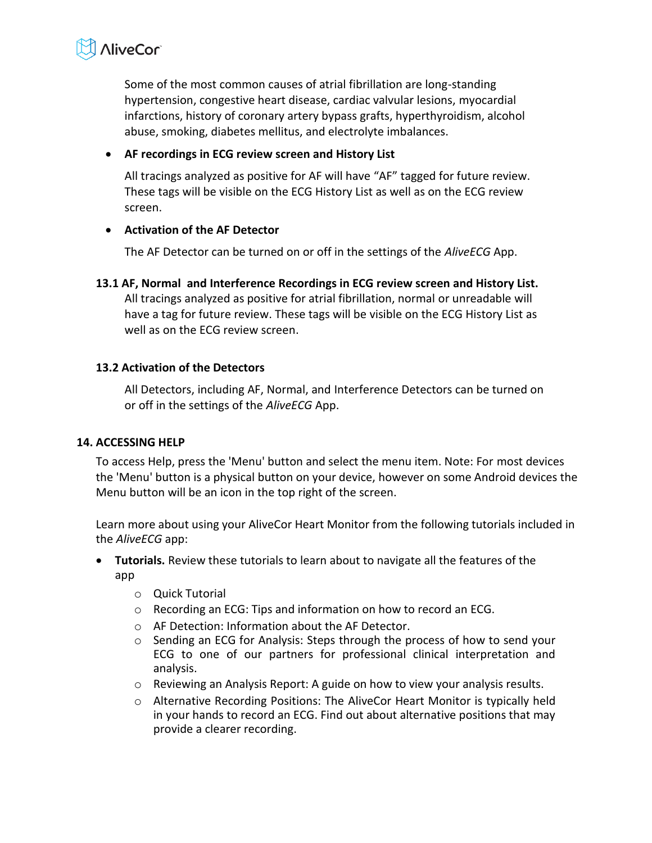

Some of the most common causes of atrial fibrillation are long-standing hypertension, congestive heart disease, cardiac valvular lesions, myocardial infarctions, history of coronary artery bypass grafts, hyperthyroidism, alcohol abuse, smoking, diabetes mellitus, and electrolyte imbalances.

#### **AF recordings in ECG review screen and History List**

All tracings analyzed as positive for AF will have "AF" tagged for future review. These tags will be visible on the ECG History List as well as on the ECG review screen.

# **Activation of the AF Detector**

The AF Detector can be turned on or off in the settings of the *AliveECG* App.

**13.1 AF, Normal and Interference Recordings in ECG review screen and History List.**  All tracings analyzed as positive for atrial fibrillation, normal or unreadable will have a tag for future review. These tags will be visible on the ECG History List as well as on the ECG review screen.

# **13.2 Activation of the Detectors**

All Detectors, including AF, Normal, and Interference Detectors can be turned on or off in the settings of the *AliveECG* App.

#### <span id="page-13-0"></span>**14. ACCESSING HELP**

To access Help, press the 'Menu' button and select the menu item. Note: For most devices the 'Menu' button is a physical button on your device, however on some Android devices the Menu button will be an icon in the top right of the screen.

Learn more about using your AliveCor Heart Monitor from the following tutorials included in the *AliveECG* app:

- **Tutorials.** Review these tutorials to learn about to navigate all the features of the app
	- o Quick Tutorial
	- o Recording an ECG: Tips and information on how to record an ECG.
	- o AF Detection: Information about the AF Detector.
	- $\circ$  Sending an ECG for Analysis: Steps through the process of how to send your ECG to one of our partners for professional clinical interpretation and analysis.
	- o Reviewing an Analysis Report: A guide on how to view your analysis results.
	- o Alternative Recording Positions: The AliveCor Heart Monitor is typically held in your hands to record an ECG. Find out about alternative positions that may provide a clearer recording.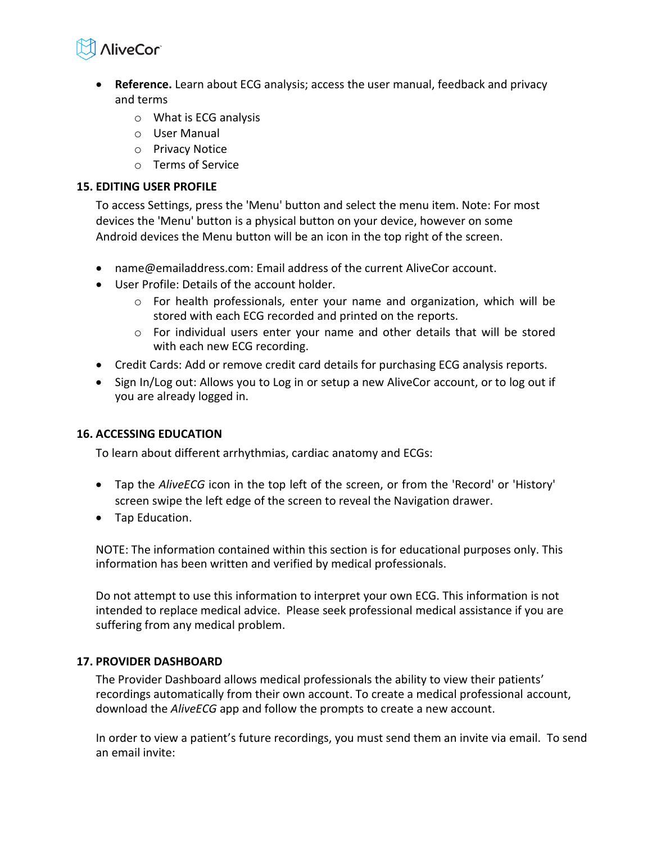

- **Reference.** Learn about ECG analysis; access the user manual, feedback and privacy and terms
	- o What is ECG analysis
	- o User Manual
	- o Privacy Notice
	- o Terms of Service

# <span id="page-14-0"></span>**15. EDITING USER PROFILE**

To access Settings, press the 'Menu' button and select the menu item. Note: For most devices the 'Menu' button is a physical button on your device, however on some Android devices the Menu button will be an icon in the top right of the screen.

- name@emailaddress.com: Email address of the current AliveCor account.
- User Profile: Details of the account holder.
	- $\circ$  For health professionals, enter your name and organization, which will be stored with each ECG recorded and printed on the reports.
	- $\circ$  For individual users enter your name and other details that will be stored with each new ECG recording.
- Credit Cards: Add or remove credit card details for purchasing ECG analysis reports.
- Sign In/Log out: Allows you to Log in or setup a new AliveCor account, or to log out if you are already logged in.

# <span id="page-14-1"></span>**16. ACCESSING EDUCATION**

To learn about different arrhythmias, cardiac anatomy and ECGs:

- Tap the *AliveECG* icon in the top left of the screen, or from the 'Record' or 'History' screen swipe the left edge of the screen to reveal the Navigation drawer.
- Tap Education.

NOTE: The information contained within this section is for educational purposes only. This information has been written and verified by medical professionals.

Do not attempt to use this information to interpret your own ECG. This information is not intended to replace medical advice. Please seek professional medical assistance if you are suffering from any medical problem.

# <span id="page-14-2"></span>**17. PROVIDER DASHBOARD**

The Provider Dashboard allows medical professionals the ability to view their patients' recordings automatically from their own account. To create a medical professional account, download the *AliveECG* app and follow the prompts to create a new account.

In order to view a patient's future recordings, you must send them an invite via email. To send an email invite: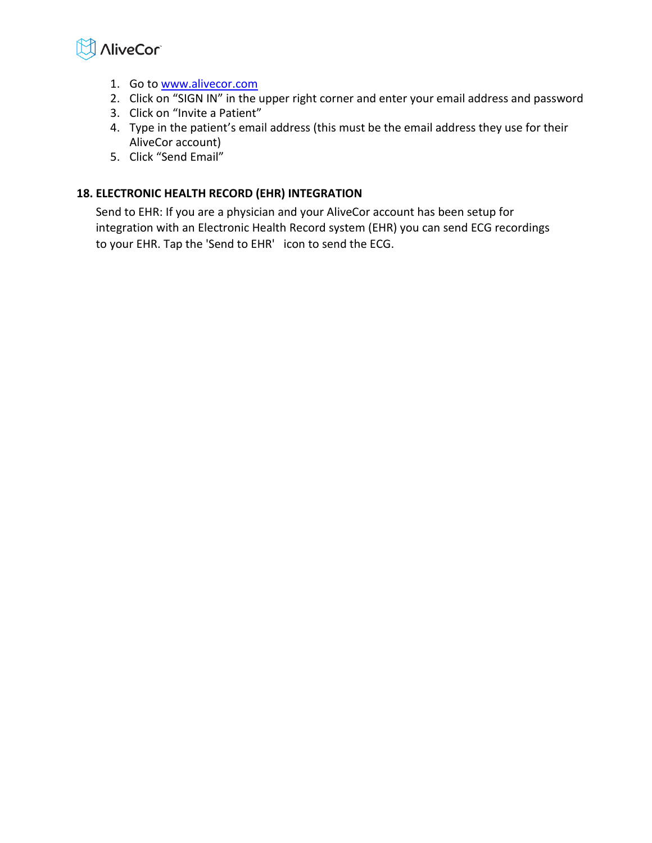

- 1. Go to [www.alivecor.com](http://www.alivecor.com/)
- 2. Click on "SIGN IN" in the upper right corner and enter your email address and password
- 3. Click on "Invite a Patient"
- 4. Type in the patient's email address (this must be the email address they use for their AliveCor account)
- 5. Click "Send Email"

# <span id="page-15-0"></span>**18. ELECTRONIC HEALTH RECORD (EHR) INTEGRATION**

Send to EHR: If you are a physician and your AliveCor account has been setup for integration with an Electronic Health Record system (EHR) you can send ECG recordings to your EHR. Tap the 'Send to EHR' icon to send the ECG.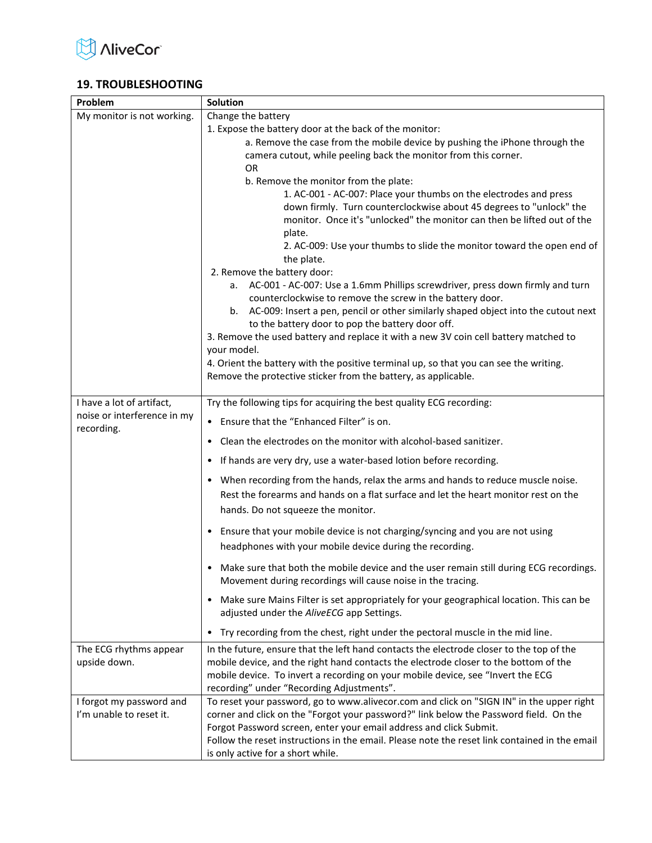

# <span id="page-16-0"></span>**19. TROUBLESHOOTING**

| Problem                     | Solution                                                                                                                                                            |  |  |  |
|-----------------------------|---------------------------------------------------------------------------------------------------------------------------------------------------------------------|--|--|--|
| My monitor is not working.  | Change the battery                                                                                                                                                  |  |  |  |
|                             | 1. Expose the battery door at the back of the monitor:                                                                                                              |  |  |  |
|                             | a. Remove the case from the mobile device by pushing the iPhone through the                                                                                         |  |  |  |
|                             | camera cutout, while peeling back the monitor from this corner.                                                                                                     |  |  |  |
|                             | 0R                                                                                                                                                                  |  |  |  |
|                             | b. Remove the monitor from the plate:                                                                                                                               |  |  |  |
|                             | 1. AC-001 - AC-007: Place your thumbs on the electrodes and press                                                                                                   |  |  |  |
|                             | down firmly. Turn counterclockwise about 45 degrees to "unlock" the<br>monitor. Once it's "unlocked" the monitor can then be lifted out of the                      |  |  |  |
|                             | plate.                                                                                                                                                              |  |  |  |
|                             | 2. AC-009: Use your thumbs to slide the monitor toward the open end of                                                                                              |  |  |  |
|                             | the plate.                                                                                                                                                          |  |  |  |
|                             | 2. Remove the battery door:                                                                                                                                         |  |  |  |
|                             | a. AC-001 - AC-007: Use a 1.6mm Phillips screwdriver, press down firmly and turn                                                                                    |  |  |  |
|                             | counterclockwise to remove the screw in the battery door.                                                                                                           |  |  |  |
|                             | b. AC-009: Insert a pen, pencil or other similarly shaped object into the cutout next                                                                               |  |  |  |
|                             | to the battery door to pop the battery door off.                                                                                                                    |  |  |  |
|                             | 3. Remove the used battery and replace it with a new 3V coin cell battery matched to                                                                                |  |  |  |
|                             | your model.                                                                                                                                                         |  |  |  |
|                             | 4. Orient the battery with the positive terminal up, so that you can see the writing.                                                                               |  |  |  |
|                             | Remove the protective sticker from the battery, as applicable.                                                                                                      |  |  |  |
| I have a lot of artifact,   | Try the following tips for acquiring the best quality ECG recording:                                                                                                |  |  |  |
| noise or interference in my |                                                                                                                                                                     |  |  |  |
| recording.                  | Ensure that the "Enhanced Filter" is on.                                                                                                                            |  |  |  |
|                             | Clean the electrodes on the monitor with alcohol-based sanitizer.                                                                                                   |  |  |  |
|                             | If hands are very dry, use a water-based lotion before recording.<br>٠                                                                                              |  |  |  |
|                             | • When recording from the hands, relax the arms and hands to reduce muscle noise.                                                                                   |  |  |  |
|                             | Rest the forearms and hands on a flat surface and let the heart monitor rest on the                                                                                 |  |  |  |
|                             | hands. Do not squeeze the monitor.                                                                                                                                  |  |  |  |
|                             | • Ensure that your mobile device is not charging/syncing and you are not using                                                                                      |  |  |  |
|                             | headphones with your mobile device during the recording.                                                                                                            |  |  |  |
|                             |                                                                                                                                                                     |  |  |  |
|                             | Make sure that both the mobile device and the user remain still during ECG recordings.                                                                              |  |  |  |
|                             | Movement during recordings will cause noise in the tracing.                                                                                                         |  |  |  |
|                             | • Make sure Mains Filter is set appropriately for your geographical location. This can be                                                                           |  |  |  |
|                             | adjusted under the AliveECG app Settings.                                                                                                                           |  |  |  |
|                             | Try recording from the chest, right under the pectoral muscle in the mid line.<br>$\bullet$                                                                         |  |  |  |
| The ECG rhythms appear      | In the future, ensure that the left hand contacts the electrode closer to the top of the                                                                            |  |  |  |
| upside down.                | mobile device, and the right hand contacts the electrode closer to the bottom of the                                                                                |  |  |  |
|                             | mobile device. To invert a recording on your mobile device, see "Invert the ECG                                                                                     |  |  |  |
|                             | recording" under "Recording Adjustments".                                                                                                                           |  |  |  |
| I forgot my password and    | To reset your password, go to www.alivecor.com and click on "SIGN IN" in the upper right                                                                            |  |  |  |
| I'm unable to reset it.     | corner and click on the "Forgot your password?" link below the Password field. On the                                                                               |  |  |  |
|                             | Forgot Password screen, enter your email address and click Submit.<br>Follow the reset instructions in the email. Please note the reset link contained in the email |  |  |  |
|                             |                                                                                                                                                                     |  |  |  |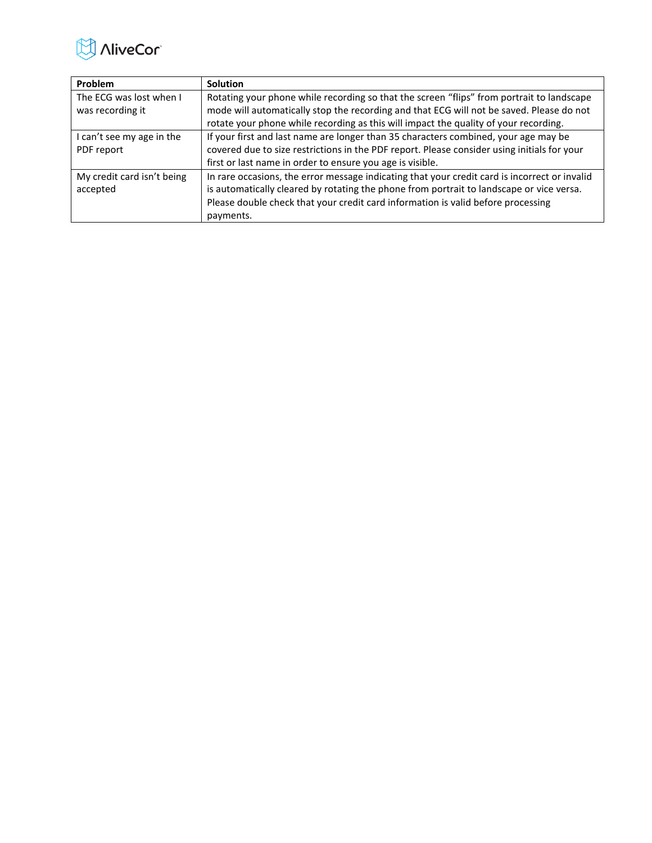

| Problem                    | <b>Solution</b>                                                                               |
|----------------------------|-----------------------------------------------------------------------------------------------|
| The ECG was lost when I    | Rotating your phone while recording so that the screen "flips" from portrait to landscape     |
| was recording it           | mode will automatically stop the recording and that ECG will not be saved. Please do not      |
|                            | rotate your phone while recording as this will impact the quality of your recording.          |
| can't see my age in the    | If your first and last name are longer than 35 characters combined, your age may be           |
| PDF report                 | covered due to size restrictions in the PDF report. Please consider using initials for your   |
|                            | first or last name in order to ensure you age is visible.                                     |
| My credit card isn't being | In rare occasions, the error message indicating that your credit card is incorrect or invalid |
| accepted                   | is automatically cleared by rotating the phone from portrait to landscape or vice versa.      |
|                            | Please double check that your credit card information is valid before processing              |
|                            | payments.                                                                                     |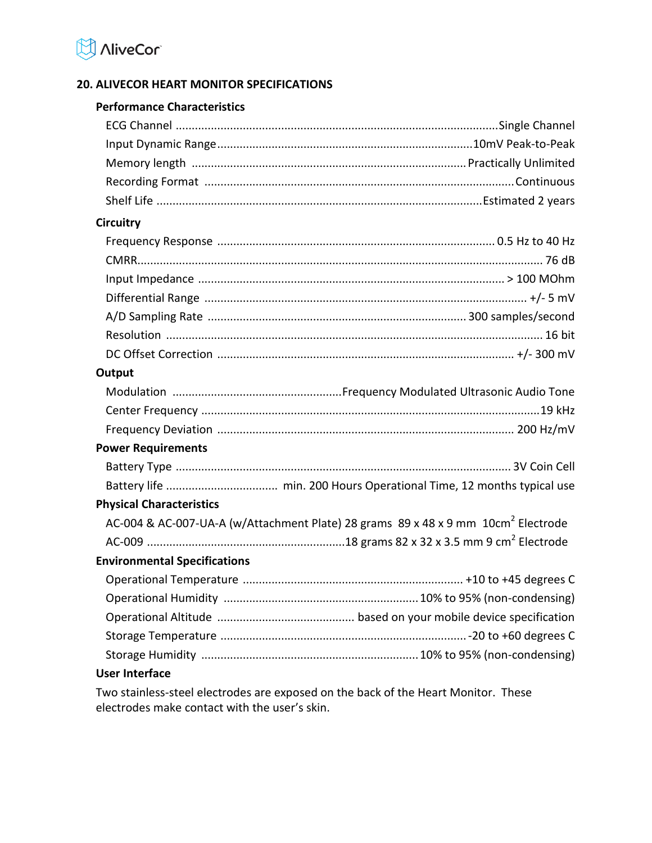

# <span id="page-18-0"></span>**20. ALIVECOR HEART MONITOR SPECIFICATIONS**

#### **Performance Characteristics**

| <b>Circuitry</b> |  |
|------------------|--|
|                  |  |
|                  |  |
|                  |  |
|                  |  |
|                  |  |
|                  |  |

# **Output**

| <b>Power Requirements</b> |  |
|---------------------------|--|
|                           |  |
|                           |  |
|                           |  |

DC Offset Correction ............................................................................................. +/- 300 mV

# **Physical Characteristics**

AC-004 & AC-007-UA-A (w/Attachment Plate) 28 grams  $\,$  89 x 48 x 9 mm  $\,$  10cm<sup>2</sup> Electrode AC-009 ..............................................................18 grams 82 x 32 x 3.5 mm 9 cm<sup>2</sup> Electrode

# **Environmental Specifications**

# **User Interface**

Two stainless-steel electrodes are exposed on the back of the Heart Monitor. These electrodes make contact with the user's skin.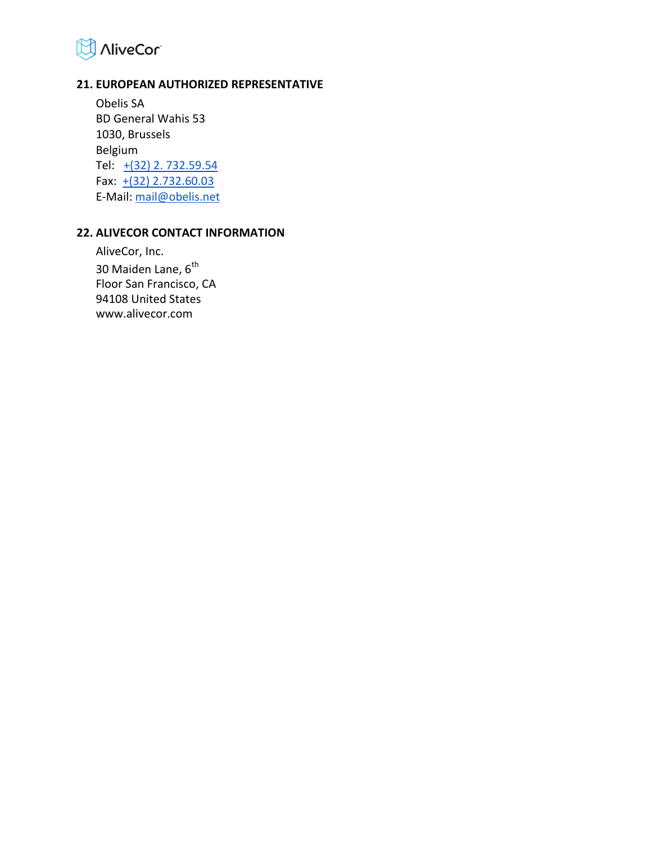

#### <span id="page-19-0"></span>**21. EUROPEAN AUTHORIZED REPRESENTATIVE**

Obelis SA BD General Wahis 53 1030, Brussels Belgium Tel:  $+(32)$  2. 732.59.54 Fax:  $\pm(32)$  2.732.60.03 E-Mail: [mail@obelis.net](mailto:mail@obelis.net)

#### <span id="page-19-1"></span>**22. ALIVECOR CONTACT INFORMATION**

AliveCor, Inc. 30 Maiden Lane, 6<sup>th</sup> Floor San Francisco, CA 94108 United States www.alivecor.com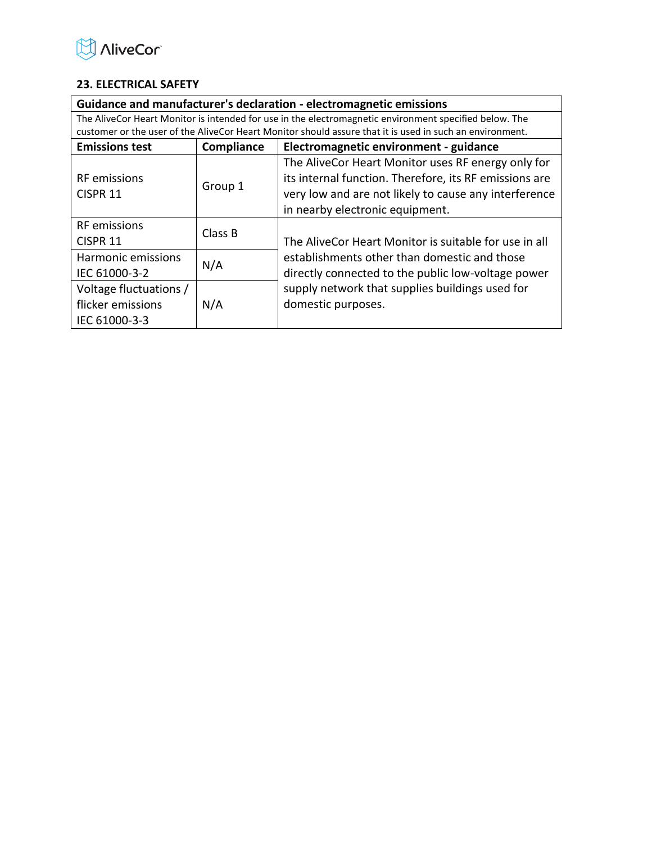

# <span id="page-20-0"></span>**23. ELECTRICAL SAFETY**

| Guidance and manufacturer's declaration - electromagnetic emissions                                    |                                                                                                          |                                                        |  |  |
|--------------------------------------------------------------------------------------------------------|----------------------------------------------------------------------------------------------------------|--------------------------------------------------------|--|--|
| The AliveCor Heart Monitor is intended for use in the electromagnetic environment specified below. The |                                                                                                          |                                                        |  |  |
|                                                                                                        | customer or the user of the AliveCor Heart Monitor should assure that it is used in such an environment. |                                                        |  |  |
| Compliance<br>Electromagnetic environment - guidance<br><b>Emissions test</b>                          |                                                                                                          |                                                        |  |  |
|                                                                                                        |                                                                                                          | The AliveCor Heart Monitor uses RF energy only for     |  |  |
| <b>RF</b> emissions                                                                                    |                                                                                                          | its internal function. Therefore, its RF emissions are |  |  |
| CISPR <sub>11</sub>                                                                                    | Group 1                                                                                                  | very low and are not likely to cause any interference  |  |  |
|                                                                                                        |                                                                                                          | in nearby electronic equipment.                        |  |  |
| <b>RF</b> emissions                                                                                    |                                                                                                          |                                                        |  |  |
| CISPR <sub>11</sub>                                                                                    | Class B                                                                                                  | The AliveCor Heart Monitor is suitable for use in all  |  |  |
| Harmonic emissions                                                                                     |                                                                                                          | establishments other than domestic and those           |  |  |
| IEC 61000-3-2                                                                                          | N/A                                                                                                      | directly connected to the public low-voltage power     |  |  |
| Voltage fluctuations /                                                                                 |                                                                                                          | supply network that supplies buildings used for        |  |  |
| flicker emissions                                                                                      | N/A                                                                                                      | domestic purposes.                                     |  |  |
| IEC 61000-3-3                                                                                          |                                                                                                          |                                                        |  |  |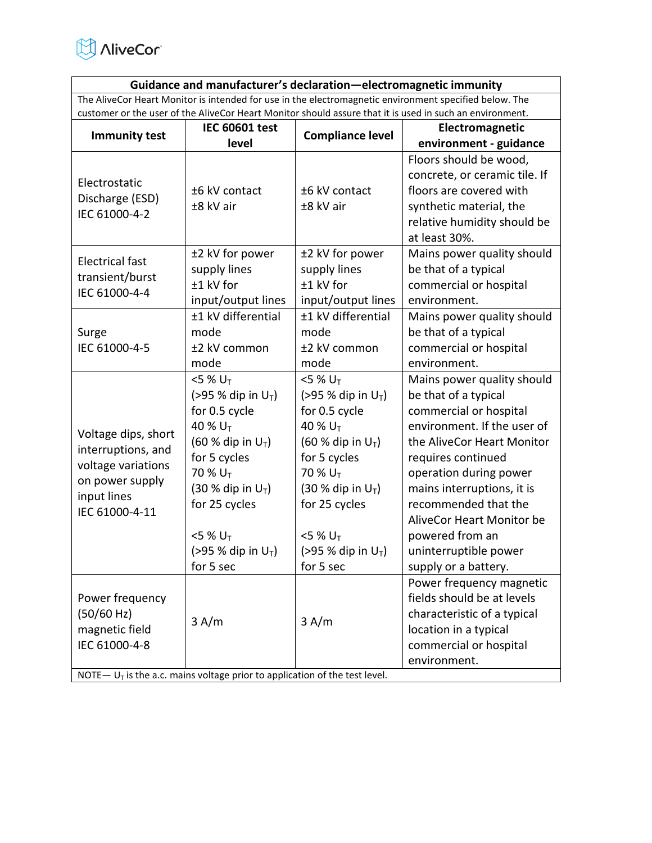

**Guidance and manufacturer's declaration—electromagnetic immunity**  The AliveCor Heart Monitor is intended for use in the electromagnetic environment specified below. The customer or the user of the AliveCor Heart Monitor should assure that it is used in such an environment.

| <b>Immunity test</b>                                                          | <b>IEC 60601 test</b>           | <b>Compliance level</b>         | Electromagnetic               |
|-------------------------------------------------------------------------------|---------------------------------|---------------------------------|-------------------------------|
|                                                                               | level                           |                                 | environment - guidance        |
|                                                                               |                                 |                                 | Floors should be wood,        |
| Electrostatic                                                                 |                                 |                                 | concrete, or ceramic tile. If |
| Discharge (ESD)                                                               | ±6 kV contact                   | ±6 kV contact                   | floors are covered with       |
| IEC 61000-4-2                                                                 | ±8 kV air                       | ±8 kV air                       | synthetic material, the       |
|                                                                               |                                 |                                 | relative humidity should be   |
|                                                                               |                                 |                                 | at least 30%.                 |
| <b>Electrical fast</b>                                                        | ±2 kV for power                 | ±2 kV for power                 | Mains power quality should    |
| transient/burst                                                               | supply lines                    | supply lines                    | be that of a typical          |
| IEC 61000-4-4                                                                 | ±1 kV for                       | ±1 kV for                       | commercial or hospital        |
|                                                                               | input/output lines              | input/output lines              | environment.                  |
|                                                                               | ±1 kV differential              | ±1 kV differential              | Mains power quality should    |
| Surge                                                                         | mode                            | mode                            | be that of a typical          |
| IEC 61000-4-5                                                                 | ±2 kV common                    | ±2 kV common                    | commercial or hospital        |
|                                                                               | mode                            | mode                            | environment.                  |
|                                                                               | $<$ 5 % U <sub>T</sub>          | $<$ 5 % U <sub>T</sub>          | Mains power quality should    |
|                                                                               | (>95 % dip in $U_T$ )           | (>95 % dip in $U_T$ )           | be that of a typical          |
|                                                                               | for 0.5 cycle                   | for 0.5 cycle                   | commercial or hospital        |
| Voltage dips, short                                                           | 40 % U <sub>T</sub>             | 40 % U <sub>T</sub>             | environment. If the user of   |
| interruptions, and                                                            | $(60 %$ dip in U <sub>T</sub> ) | $(60 %$ dip in U <sub>T</sub> ) | the AliveCor Heart Monitor    |
| voltage variations                                                            | for 5 cycles<br>for 5 cycles    |                                 | requires continued            |
| on power supply                                                               | 70 % U <sub>T</sub>             | 70 % $U_T$                      | operation during power        |
| input lines                                                                   | $(30 %$ dip in $U_T$ )          | (30 % dip in $U_T$ )            | mains interruptions, it is    |
| IEC 61000-4-11                                                                | for 25 cycles                   | for 25 cycles                   | recommended that the          |
|                                                                               |                                 |                                 | AliveCor Heart Monitor be     |
|                                                                               | $<$ 5 % U <sub>T</sub>          | $<$ 5 % U <sub>T</sub>          | powered from an               |
|                                                                               | (>95 % dip in $U_T$ )           | (>95 % dip in $U_T$ )           | uninterruptible power         |
|                                                                               | for 5 sec                       | for 5 sec                       | supply or a battery.          |
|                                                                               |                                 |                                 | Power frequency magnetic      |
| Power frequency                                                               |                                 |                                 | fields should be at levels    |
| (50/60 Hz)                                                                    |                                 |                                 | characteristic of a typical   |
| magnetic field                                                                | 3 A/m                           | 3 A/m                           | location in a typical         |
| IEC 61000-4-8                                                                 |                                 |                                 | commercial or hospital        |
|                                                                               |                                 |                                 | environment.                  |
| NOTE $- UT$ is the a.c. mains voltage prior to application of the test level. |                                 |                                 |                               |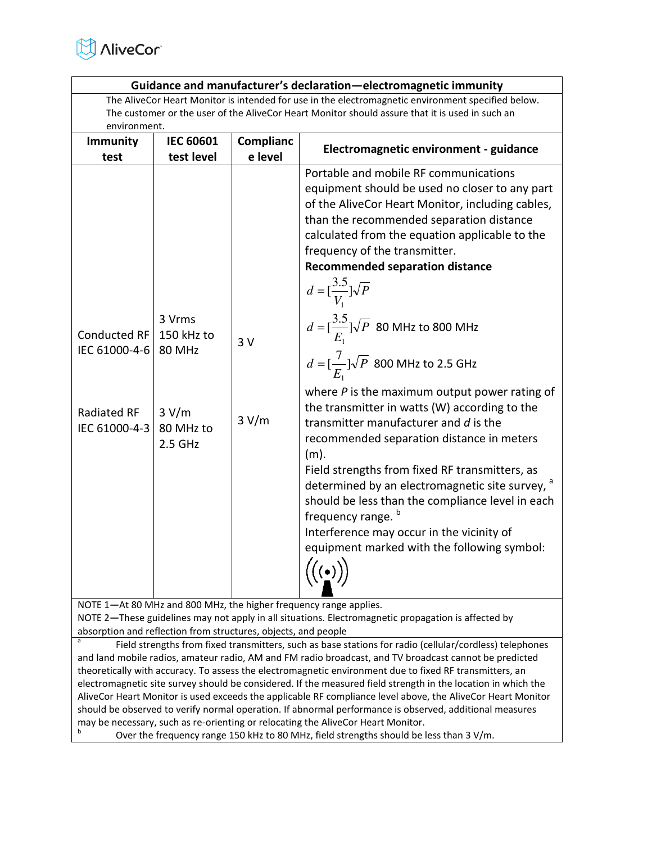

| Guidance and manufacturer's declaration-electromagnetic immunity                                                                                                                                                                                                                                                                                                                                                                                                                                                                                                                                                                                                                                                                                                                                                                                                                                                                                                                                                                                                                                                                                                                                                                                                                                                                                                                                                                                                                                                                                                                                                                                      |                  |                  |                                        |  |
|-------------------------------------------------------------------------------------------------------------------------------------------------------------------------------------------------------------------------------------------------------------------------------------------------------------------------------------------------------------------------------------------------------------------------------------------------------------------------------------------------------------------------------------------------------------------------------------------------------------------------------------------------------------------------------------------------------------------------------------------------------------------------------------------------------------------------------------------------------------------------------------------------------------------------------------------------------------------------------------------------------------------------------------------------------------------------------------------------------------------------------------------------------------------------------------------------------------------------------------------------------------------------------------------------------------------------------------------------------------------------------------------------------------------------------------------------------------------------------------------------------------------------------------------------------------------------------------------------------------------------------------------------------|------------------|------------------|----------------------------------------|--|
| The AliveCor Heart Monitor is intended for use in the electromagnetic environment specified below.<br>The customer or the user of the AliveCor Heart Monitor should assure that it is used in such an                                                                                                                                                                                                                                                                                                                                                                                                                                                                                                                                                                                                                                                                                                                                                                                                                                                                                                                                                                                                                                                                                                                                                                                                                                                                                                                                                                                                                                                 |                  |                  |                                        |  |
| environment.                                                                                                                                                                                                                                                                                                                                                                                                                                                                                                                                                                                                                                                                                                                                                                                                                                                                                                                                                                                                                                                                                                                                                                                                                                                                                                                                                                                                                                                                                                                                                                                                                                          |                  |                  |                                        |  |
| <b>Immunity</b>                                                                                                                                                                                                                                                                                                                                                                                                                                                                                                                                                                                                                                                                                                                                                                                                                                                                                                                                                                                                                                                                                                                                                                                                                                                                                                                                                                                                                                                                                                                                                                                                                                       | <b>IEC 60601</b> | <b>Complianc</b> |                                        |  |
| test                                                                                                                                                                                                                                                                                                                                                                                                                                                                                                                                                                                                                                                                                                                                                                                                                                                                                                                                                                                                                                                                                                                                                                                                                                                                                                                                                                                                                                                                                                                                                                                                                                                  | test level       | e level          | Electromagnetic environment - guidance |  |
| equipment should be used no closer to any part<br>of the AliveCor Heart Monitor, including cables,<br>than the recommended separation distance<br>calculated from the equation applicable to the<br>frequency of the transmitter.<br><b>Recommended separation distance</b><br>$d = [\frac{3.5}{V_1}]\sqrt{P}$<br>3 Vrms<br>$d = [\frac{3.5}{E_1}]\sqrt{P}$ 80 MHz to 800 MHz<br><b>Conducted RF</b><br>150 kHz to<br>3V<br>IEC 61000-4-6<br><b>80 MHz</b><br>$d = \left[\frac{7}{E}\right] \sqrt{P}$ 800 MHz to 2.5 GHz<br>where $P$ is the maximum output power rating of<br>the transmitter in watts (W) according to the<br>3 V/m<br>Radiated RF<br>3 V/m<br>transmitter manufacturer and d is the<br>IEC 61000-4-3<br>80 MHz to<br>recommended separation distance in meters<br>2.5 GHz<br>$(m)$ .<br>Field strengths from fixed RF transmitters, as<br>determined by an electromagnetic site survey, <sup>a</sup><br>should be less than the compliance level in each<br>frequency range. <sup>b</sup><br>Interference may occur in the vicinity of<br>equipment marked with the following symbol:<br>$\left(\left(\begin{matrix} \cdot \\ \cdot \end{matrix}\right)\right)$<br>NOTE 1-At 80 MHz and 800 MHz, the higher frequency range applies.<br>NOTE 2-These guidelines may not apply in all situations. Electromagnetic propagation is affected by<br>absorption and reflection from structures, objects, and people<br>Field strengths from fixed transmitters, such as base stations for radio (cellular/cordless) telephones<br>and land mobile radios, amateur radio, AM and FM radio broadcast, and TV broadcast cannot be predicted |                  |                  |                                        |  |
|                                                                                                                                                                                                                                                                                                                                                                                                                                                                                                                                                                                                                                                                                                                                                                                                                                                                                                                                                                                                                                                                                                                                                                                                                                                                                                                                                                                                                                                                                                                                                                                                                                                       |                  |                  |                                        |  |
|                                                                                                                                                                                                                                                                                                                                                                                                                                                                                                                                                                                                                                                                                                                                                                                                                                                                                                                                                                                                                                                                                                                                                                                                                                                                                                                                                                                                                                                                                                                                                                                                                                                       |                  |                  |                                        |  |
| theoretically with accuracy. To assess the electromagnetic environment due to fixed RF transmitters, an                                                                                                                                                                                                                                                                                                                                                                                                                                                                                                                                                                                                                                                                                                                                                                                                                                                                                                                                                                                                                                                                                                                                                                                                                                                                                                                                                                                                                                                                                                                                               |                  |                  |                                        |  |

theoretically with accuracy. To assess the electromagnetic environment due to fixed RF transmitters, an electromagnetic site survey should be considered. If the measured field strength in the location in which the AliveCor Heart Monitor is used exceeds the applicable RF compliance level above, the AliveCor Heart Monitor should be observed to verify normal operation. If abnormal performance is observed, additional measures may be necessary, such as re-orienting or relocating the AliveCor Heart Monitor. b

Over the frequency range 150 kHz to 80 MHz, field strengths should be less than 3 V/m.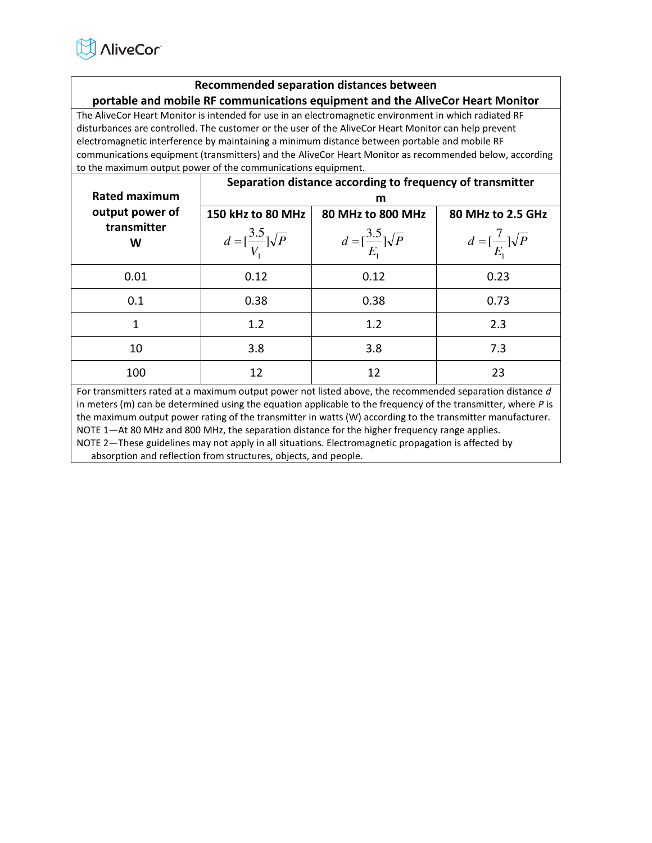

# **Recommended separation distances between portable and mobile RF communications equipment and the AliveCor Heart Monitor**

The AliveCor Heart Monitor is intended for use in an electromagnetic environment in which radiated RF disturbances are controlled. The customer or the user of the AliveCor Heart Monitor can help prevent electromagnetic interference by maintaining a minimum distance between portable and mobile RF communications equipment (transmitters) and the AliveCor Heart Monitor as recommended below, according to the maximum output power of the communications equipment.

| Rated maximum                       | Separation distance according to frequency of transmitter<br>m |                                                                  |                                                              |  |
|-------------------------------------|----------------------------------------------------------------|------------------------------------------------------------------|--------------------------------------------------------------|--|
| output power of<br>transmitter<br>W | 150 kHz to 80 MHz<br>$d = \left[\frac{3.5}{V}\right] \sqrt{P}$ | 80 MHz to 800 MHz<br>$d = \left[\frac{3.5}{E_1}\right] \sqrt{P}$ | 80 MHz to 2.5 GHz<br>$d = \left[\frac{7}{E}\right] \sqrt{P}$ |  |
| 0.01                                | 0.12                                                           | 0.12                                                             | 0.23                                                         |  |
| 0.1                                 | 0.38                                                           | 0.38                                                             | 0.73                                                         |  |
| 1                                   | 1.2                                                            | 1.2                                                              | 2.3                                                          |  |
| 10                                  | 3.8                                                            | 3.8                                                              | 7.3                                                          |  |
| 100                                 | 12                                                             | 12                                                               | 23                                                           |  |

For transmitters rated at a maximum output power not listed above, the recommended separation distance *d*  in meters (m) can be determined using the equation applicable to the frequency of the transmitter, where *P* is the maximum output power rating of the transmitter in watts (W) according to the transmitter manufacturer. NOTE 1—At 80 MHz and 800 MHz, the separation distance for the higher frequency range applies.

NOTE 2—These guidelines may not apply in all situations. Electromagnetic propagation is affected by absorption and reflection from structures, objects, and people.